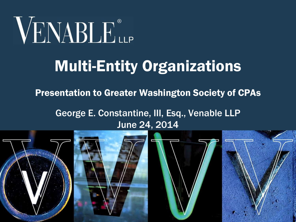

# Multi-Entity Organizations

Presentation to Greater Washington Society of CPAs

George E. Constantine, III, Esq., Venable LLP June 24, 2014

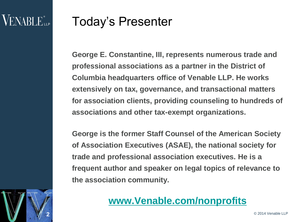2

#### Today's Presenter

**George E. Constantine, III, represents numerous trade and professional associations as a partner in the District of Columbia headquarters office of Venable LLP. He works extensively on tax, governance, and transactional matters for association clients, providing counseling to hundreds of associations and other tax-exempt organizations.** 

**George is the former Staff Counsel of the American Society of Association Executives (ASAE), the national society for trade and professional association executives. He is a frequent author and speaker on legal topics of relevance to the association community.**

#### **[www.Venable.com/nonprofits](http://www.venable.com/nonprofits)**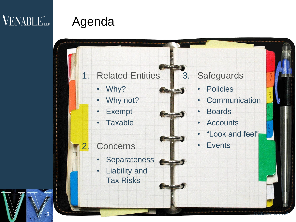3

# Agenda

1. Related Entities

- Why?
- Why not?
- **Exempt**
- **Taxable**
- **Concerns** 
	- **Separateness**
	- Liability and Tax Risks

**3** © 2014 Venable LLP

#### 3. Safeguards

- **Policies**
- Communication
- **Boards**
- **Accounts**
- "Look and feel"
- **Events**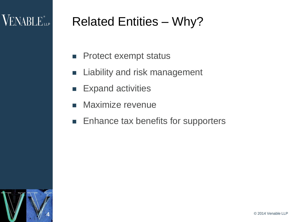# Related Entities – Why?

- **Protect exempt status**
- **E** Liability and risk management
- **Expand activities**
- **Maximize revenue**
- **Enhance tax benefits for supporters**

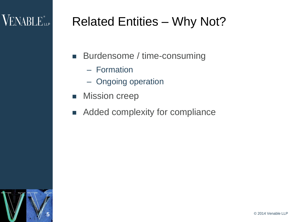# VENABLE<sup>®</sup>LLP

## Related Entities – Why Not?

- **Burdensome / time-consuming** 
	- Formation
	- Ongoing operation
- **Nission creep**
- **Added complexity for compliance**

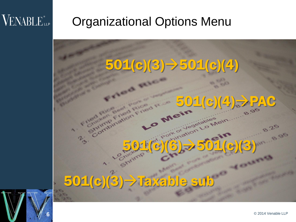6

#### Organizational Options Menu

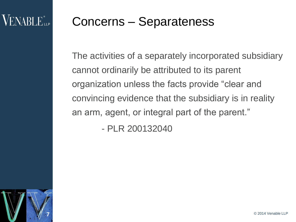#### Concerns – Separateness

The activities of a separately incorporated subsidiary cannot ordinarily be attributed to its parent organization unless the facts provide "clear and convincing evidence that the subsidiary is in reality an arm, agent, or integral part of the parent."

- PLR 200132040

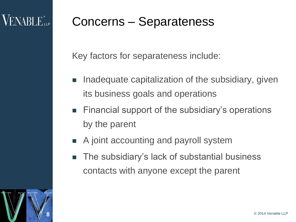# **VENABLE**

#### Concerns – Separateness

Key factors for separateness include:

- Inadequate capitalization of the subsidiary, given its business goals and operations
- **Financial support of the subsidiary's operations** by the parent
- A joint accounting and payroll system
- The subsidiary's lack of substantial business contacts with anyone except the parent

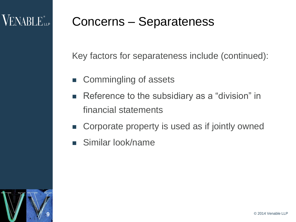#### Concerns – Separateness

Key factors for separateness include (continued):

- Commingling of assets
- Reference to the subsidiary as a "division" in financial statements
- Corporate property is used as if jointly owned
- Similar look/name

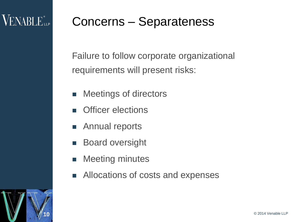#### Concerns – Separateness

Failure to follow corporate organizational requirements will present risks:

- **Neetings of directors**
- Officer elections
- **Annual reports**
- Board oversight
- **Meeting minutes**
- Allocations of costs and expenses

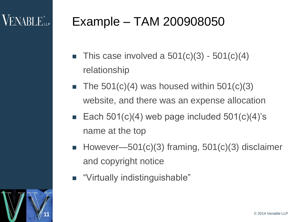# $VENABI$   $E_{\perp P}$

# Example – TAM 200908050

- $\blacksquare$  This case involved a 501(c)(3) 501(c)(4) relationship
- $\blacksquare$  The 501(c)(4) was housed within 501(c)(3) website, and there was an expense allocation
- Each  $501(c)(4)$  web page included  $501(c)(4)$ 's name at the top
- However—501(c)(3) framing,  $501(c)(3)$  disclaimer and copyright notice
- "Virtually indistinguishable"



11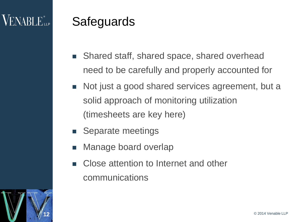# **VENABLE**

#### **Safeguards**

- Shared staff, shared space, shared overhead need to be carefully and properly accounted for
- Not just a good shared services agreement, but a solid approach of monitoring utilization (timesheets are key here)
- Separate meetings
- Manage board overlap
- Close attention to Internet and other communications

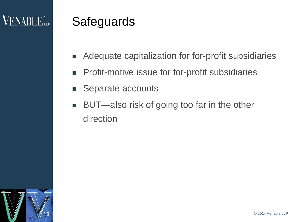# $\rm VENABLE$  ill p

#### **Safeguards**

- Adequate capitalization for for-profit subsidiaries
- **Profit-motive issue for for-profit subsidiaries**
- Separate accounts
- BUT—also risk of going too far in the other direction